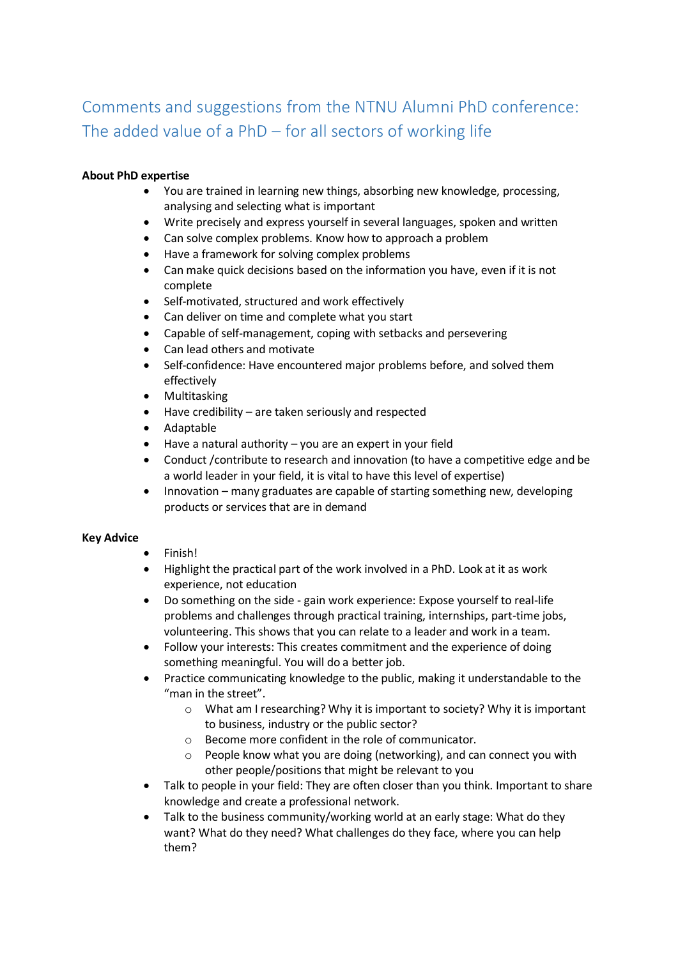## Comments and suggestions from the NTNU Alumni PhD conference: The added value of a PhD – for all sectors of working life

## **About PhD expertise**

- You are trained in learning new things, absorbing new knowledge, processing, analysing and selecting what is important
- Write precisely and express yourself in several languages, spoken and written
- Can solve complex problems. Know how to approach a problem
- Have a framework for solving complex problems
- Can make quick decisions based on the information you have, even if it is not complete
- Self-motivated, structured and work effectively
- Can deliver on time and complete what you start
- Capable of self-management, coping with setbacks and persevering
- Can lead others and motivate
- Self-confidence: Have encountered major problems before, and solved them effectively
- Multitasking
- Have credibility are taken seriously and respected
- Adaptable
- Have a natural authority you are an expert in your field
- Conduct /contribute to research and innovation (to have a competitive edge and be a world leader in your field, it is vital to have this level of expertise)
- Innovation many graduates are capable of starting something new, developing products or services that are in demand

## **Key Advice**

- Finish!
- Highlight the practical part of the work involved in a PhD. Look at it as work experience, not education
- Do something on the side gain work experience: Expose yourself to real-life problems and challenges through practical training, internships, part-time jobs, volunteering. This shows that you can relate to a leader and work in a team.
- Follow your interests: This creates commitment and the experience of doing something meaningful. You will do a better job.
- Practice communicating knowledge to the public, making it understandable to the "man in the street".
	- o What am I researching? Why it is important to society? Why it is important to business, industry or the public sector?
	- o Become more confident in the role of communicator.
	- o People know what you are doing (networking), and can connect you with other people/positions that might be relevant to you
- Talk to people in your field: They are often closer than you think. Important to share knowledge and create a professional network.
- Talk to the business community/working world at an early stage: What do they want? What do they need? What challenges do they face, where you can help them?